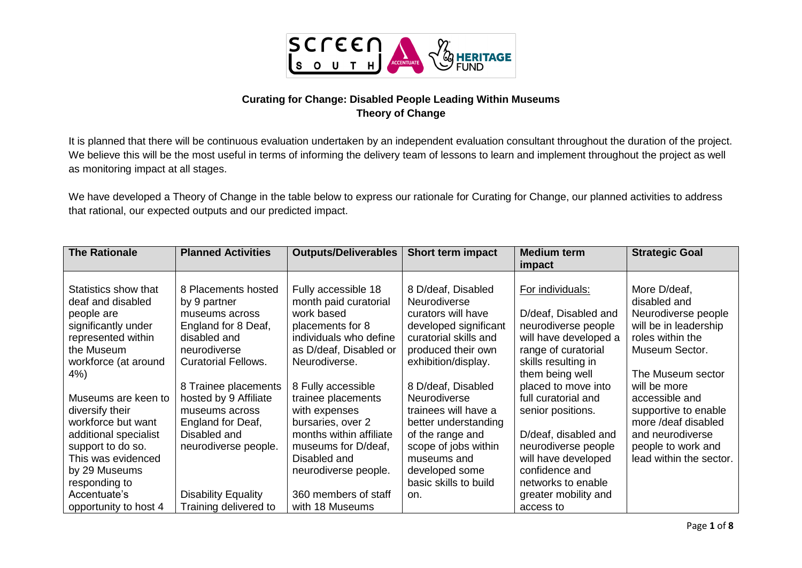

## **Curating for Change: Disabled People Leading Within Museums Theory of Change**

It is planned that there will be continuous evaluation undertaken by an independent evaluation consultant throughout the duration of the project. We believe this will be the most useful in terms of informing the delivery team of lessons to learn and implement throughout the project as well as monitoring impact at all stages.

We have developed a Theory of Change in the table below to express our rationale for Curating for Change, our planned activities to address that rational, our expected outputs and our predicted impact.

| <b>The Rationale</b>                                                                                 | <b>Planned Activities</b>                                                                    | <b>Outputs/Deliverables</b>                                                                              | <b>Short term impact</b>                                                                                          | <b>Medium term</b><br>impact                                                             | <b>Strategic Goal</b>                                                                            |
|------------------------------------------------------------------------------------------------------|----------------------------------------------------------------------------------------------|----------------------------------------------------------------------------------------------------------|-------------------------------------------------------------------------------------------------------------------|------------------------------------------------------------------------------------------|--------------------------------------------------------------------------------------------------|
| Statistics show that<br>deaf and disabled<br>people are<br>significantly under<br>represented within | 8 Placements hosted<br>by 9 partner<br>museums across<br>England for 8 Deaf,<br>disabled and | Fully accessible 18<br>month paid curatorial<br>work based<br>placements for 8<br>individuals who define | 8 D/deaf, Disabled<br><b>Neurodiverse</b><br>curators will have<br>developed significant<br>curatorial skills and | For individuals:<br>D/deaf, Disabled and<br>neurodiverse people<br>will have developed a | More D/deaf,<br>disabled and<br>Neurodiverse people<br>will be in leadership<br>roles within the |
| the Museum<br>workforce (at around<br>4%)                                                            | neurodiverse<br><b>Curatorial Fellows.</b>                                                   | as D/deaf, Disabled or<br>Neurodiverse.                                                                  | produced their own<br>exhibition/display.                                                                         | range of curatorial<br>skills resulting in<br>them being well                            | Museum Sector.<br>The Museum sector                                                              |
| Museums are keen to<br>diversify their<br>workforce but want                                         | 8 Trainee placements<br>hosted by 9 Affiliate<br>museums across<br>England for Deaf,         | 8 Fully accessible<br>trainee placements<br>with expenses<br>bursaries, over 2                           | 8 D/deaf, Disabled<br><b>Neurodiverse</b><br>trainees will have a<br>better understanding                         | placed to move into<br>full curatorial and<br>senior positions.                          | will be more<br>accessible and<br>supportive to enable<br>more /deaf disabled                    |
| additional specialist<br>support to do so.<br>This was evidenced<br>by 29 Museums                    | Disabled and<br>neurodiverse people.                                                         | months within affiliate<br>museums for D/deaf,<br>Disabled and<br>neurodiverse people.                   | of the range and<br>scope of jobs within<br>museums and<br>developed some                                         | D/deaf, disabled and<br>neurodiverse people<br>will have developed<br>confidence and     | and neurodiverse<br>people to work and<br>lead within the sector.                                |
| responding to<br>Accentuate's<br>opportunity to host 4                                               | <b>Disability Equality</b><br>Training delivered to                                          | 360 members of staff<br>with 18 Museums                                                                  | basic skills to build<br>on.                                                                                      | networks to enable<br>greater mobility and<br>access to                                  |                                                                                                  |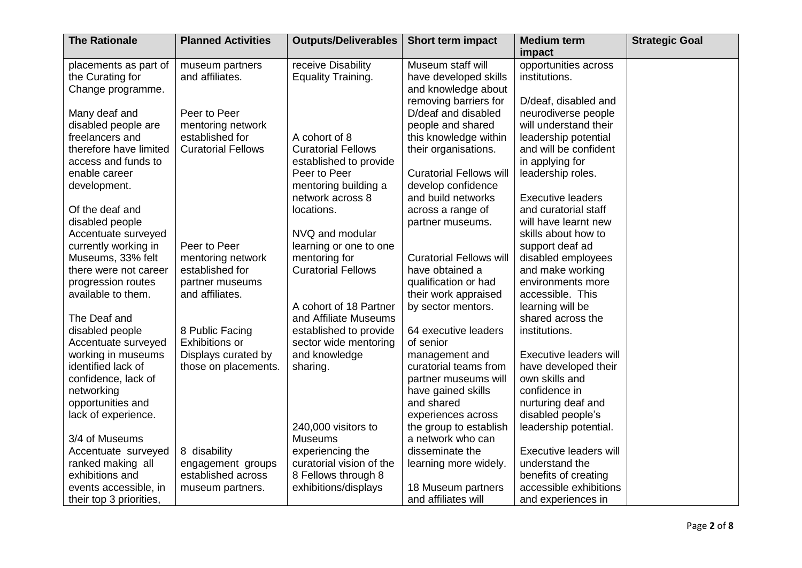| <b>The Rationale</b>    | <b>Planned Activities</b> | <b>Outputs/Deliverables</b> | <b>Short term impact</b>       | <b>Medium term</b>            | <b>Strategic Goal</b> |
|-------------------------|---------------------------|-----------------------------|--------------------------------|-------------------------------|-----------------------|
|                         |                           |                             |                                | impact                        |                       |
| placements as part of   | museum partners           | receive Disability          | Museum staff will              | opportunities across          |                       |
| the Curating for        | and affiliates.           | <b>Equality Training.</b>   | have developed skills          | institutions.                 |                       |
| Change programme.       |                           |                             | and knowledge about            |                               |                       |
|                         |                           |                             | removing barriers for          | D/deaf, disabled and          |                       |
| Many deaf and           | Peer to Peer              |                             | D/deaf and disabled            | neurodiverse people           |                       |
| disabled people are     | mentoring network         |                             | people and shared              | will understand their         |                       |
| freelancers and         | established for           | A cohort of 8               | this knowledge within          | leadership potential          |                       |
| therefore have limited  | <b>Curatorial Fellows</b> | <b>Curatorial Fellows</b>   | their organisations.           | and will be confident         |                       |
| access and funds to     |                           | established to provide      |                                | in applying for               |                       |
| enable career           |                           | Peer to Peer                | <b>Curatorial Fellows will</b> | leadership roles.             |                       |
| development.            |                           | mentoring building a        | develop confidence             |                               |                       |
|                         |                           | network across 8            | and build networks             | <b>Executive leaders</b>      |                       |
| Of the deaf and         |                           | locations.                  | across a range of              | and curatorial staff          |                       |
| disabled people         |                           |                             | partner museums.               | will have learnt new          |                       |
| Accentuate surveyed     |                           | NVQ and modular             |                                | skills about how to           |                       |
| currently working in    | Peer to Peer              | learning or one to one      |                                | support deaf ad               |                       |
| Museums, 33% felt       | mentoring network         | mentoring for               | <b>Curatorial Fellows will</b> | disabled employees            |                       |
| there were not career   | established for           | <b>Curatorial Fellows</b>   | have obtained a                | and make working              |                       |
| progression routes      | partner museums           |                             | qualification or had           | environments more             |                       |
| available to them.      | and affiliates.           |                             | their work appraised           | accessible. This              |                       |
|                         |                           | A cohort of 18 Partner      | by sector mentors.             | learning will be              |                       |
| The Deaf and            |                           | and Affiliate Museums       |                                | shared across the             |                       |
| disabled people         | 8 Public Facing           | established to provide      | 64 executive leaders           | institutions.                 |                       |
|                         | <b>Exhibitions or</b>     |                             | of senior                      |                               |                       |
| Accentuate surveyed     |                           | sector wide mentoring       |                                |                               |                       |
| working in museums      | Displays curated by       | and knowledge               | management and                 | Executive leaders will        |                       |
| identified lack of      | those on placements.      | sharing.                    | curatorial teams from          | have developed their          |                       |
| confidence, lack of     |                           |                             | partner museums will           | own skills and                |                       |
| networking              |                           |                             | have gained skills             | confidence in                 |                       |
| opportunities and       |                           |                             | and shared                     | nurturing deaf and            |                       |
| lack of experience.     |                           |                             | experiences across             | disabled people's             |                       |
|                         |                           | 240,000 visitors to         | the group to establish         | leadership potential.         |                       |
| 3/4 of Museums          |                           | <b>Museums</b>              | a network who can              |                               |                       |
| Accentuate surveyed     | 8 disability              | experiencing the            | disseminate the                | <b>Executive leaders will</b> |                       |
| ranked making all       | engagement groups         | curatorial vision of the    | learning more widely.          | understand the                |                       |
| exhibitions and         | established across        | 8 Fellows through 8         |                                | benefits of creating          |                       |
| events accessible, in   | museum partners.          | exhibitions/displays        | 18 Museum partners             | accessible exhibitions        |                       |
| their top 3 priorities, |                           |                             | and affiliates will            | and experiences in            |                       |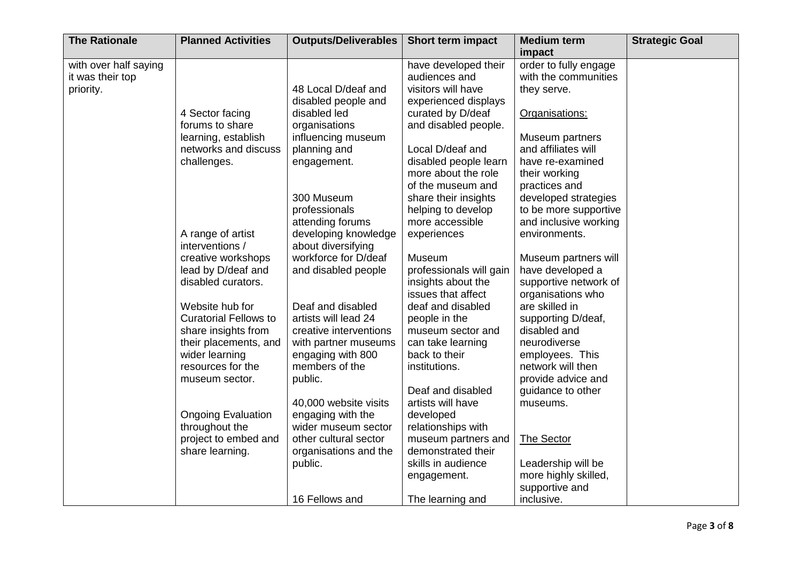| <b>The Rationale</b>  | <b>Planned Activities</b>    | <b>Outputs/Deliverables</b> | <b>Short term impact</b> | <b>Medium term</b>    | <b>Strategic Goal</b> |
|-----------------------|------------------------------|-----------------------------|--------------------------|-----------------------|-----------------------|
|                       |                              |                             |                          | impact                |                       |
| with over half saying |                              |                             | have developed their     | order to fully engage |                       |
| it was their top      |                              |                             | audiences and            | with the communities  |                       |
| priority.             |                              | 48 Local D/deaf and         | visitors will have       | they serve.           |                       |
|                       |                              | disabled people and         | experienced displays     |                       |                       |
|                       | 4 Sector facing              | disabled led                | curated by D/deaf        | Organisations:        |                       |
|                       | forums to share              | organisations               | and disabled people.     |                       |                       |
|                       | learning, establish          | influencing museum          |                          | Museum partners       |                       |
|                       | networks and discuss         | planning and                | Local D/deaf and         | and affiliates will   |                       |
|                       | challenges.                  | engagement.                 | disabled people learn    | have re-examined      |                       |
|                       |                              |                             | more about the role      | their working         |                       |
|                       |                              |                             | of the museum and        | practices and         |                       |
|                       |                              | 300 Museum                  | share their insights     | developed strategies  |                       |
|                       |                              | professionals               | helping to develop       | to be more supportive |                       |
|                       |                              | attending forums            | more accessible          | and inclusive working |                       |
|                       | A range of artist            | developing knowledge        | experiences              | environments.         |                       |
|                       | interventions /              | about diversifying          |                          |                       |                       |
|                       | creative workshops           | workforce for D/deaf        | Museum                   | Museum partners will  |                       |
|                       | lead by D/deaf and           | and disabled people         | professionals will gain  | have developed a      |                       |
|                       | disabled curators.           |                             | insights about the       | supportive network of |                       |
|                       |                              |                             | issues that affect       | organisations who     |                       |
|                       | Website hub for              | Deaf and disabled           | deaf and disabled        | are skilled in        |                       |
|                       | <b>Curatorial Fellows to</b> | artists will lead 24        | people in the            | supporting D/deaf,    |                       |
|                       | share insights from          | creative interventions      | museum sector and        | disabled and          |                       |
|                       | their placements, and        | with partner museums        | can take learning        | neurodiverse          |                       |
|                       | wider learning               | engaging with 800           | back to their            | employees. This       |                       |
|                       | resources for the            | members of the              | institutions.            | network will then     |                       |
|                       | museum sector.               | public.                     |                          | provide advice and    |                       |
|                       |                              |                             | Deaf and disabled        | guidance to other     |                       |
|                       |                              | 40,000 website visits       | artists will have        | museums.              |                       |
|                       | <b>Ongoing Evaluation</b>    | engaging with the           | developed                |                       |                       |
|                       | throughout the               | wider museum sector         | relationships with       |                       |                       |
|                       | project to embed and         | other cultural sector       | museum partners and      | The Sector            |                       |
|                       | share learning.              | organisations and the       | demonstrated their       |                       |                       |
|                       |                              | public.                     | skills in audience       | Leadership will be    |                       |
|                       |                              |                             | engagement.              | more highly skilled,  |                       |
|                       |                              |                             |                          | supportive and        |                       |
|                       |                              | 16 Fellows and              | The learning and         | inclusive.            |                       |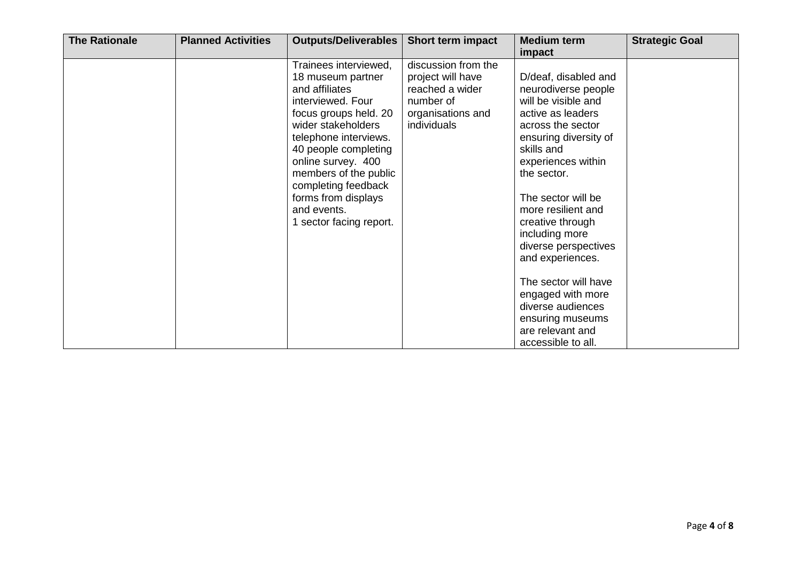| <b>The Rationale</b> | <b>Planned Activities</b> | <b>Outputs/Deliverables</b>                                                                                                                                                                                                                                                                                              | <b>Short term impact</b>                                                                                     | <b>Medium term</b><br>impact                                                                                                                                                                                                                                                                                                                                                                                                                           | <b>Strategic Goal</b> |
|----------------------|---------------------------|--------------------------------------------------------------------------------------------------------------------------------------------------------------------------------------------------------------------------------------------------------------------------------------------------------------------------|--------------------------------------------------------------------------------------------------------------|--------------------------------------------------------------------------------------------------------------------------------------------------------------------------------------------------------------------------------------------------------------------------------------------------------------------------------------------------------------------------------------------------------------------------------------------------------|-----------------------|
|                      |                           | Trainees interviewed,<br>18 museum partner<br>and affiliates<br>interviewed. Four<br>focus groups held. 20<br>wider stakeholders<br>telephone interviews.<br>40 people completing<br>online survey. 400<br>members of the public<br>completing feedback<br>forms from displays<br>and events.<br>1 sector facing report. | discussion from the<br>project will have<br>reached a wider<br>number of<br>organisations and<br>individuals | D/deaf, disabled and<br>neurodiverse people<br>will be visible and<br>active as leaders<br>across the sector<br>ensuring diversity of<br>skills and<br>experiences within<br>the sector.<br>The sector will be<br>more resilient and<br>creative through<br>including more<br>diverse perspectives<br>and experiences.<br>The sector will have<br>engaged with more<br>diverse audiences<br>ensuring museums<br>are relevant and<br>accessible to all. |                       |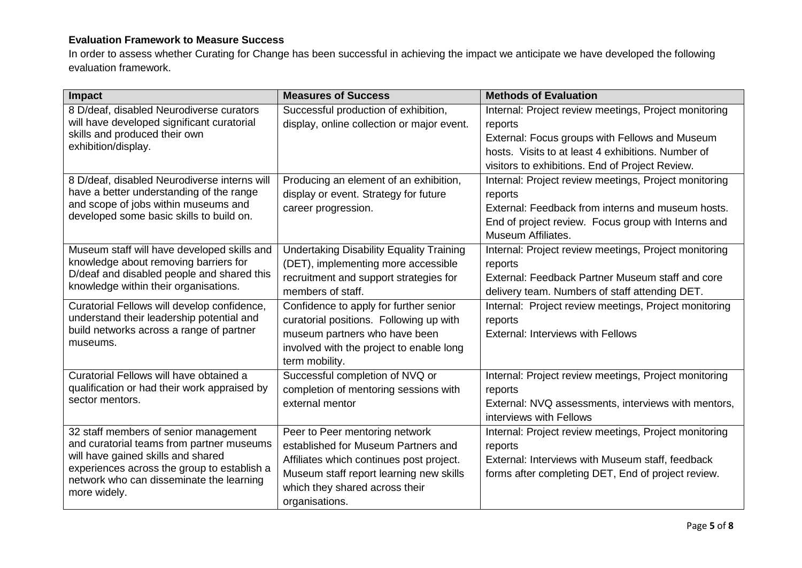# **Evaluation Framework to Measure Success**

In order to assess whether Curating for Change has been successful in achieving the impact we anticipate we have developed the following evaluation framework.

| Impact                                                                              | <b>Measures of Success</b>                      | <b>Methods of Evaluation</b>                          |
|-------------------------------------------------------------------------------------|-------------------------------------------------|-------------------------------------------------------|
| 8 D/deaf, disabled Neurodiverse curators                                            | Successful production of exhibition,            | Internal: Project review meetings, Project monitoring |
| will have developed significant curatorial                                          | display, online collection or major event.      | reports                                               |
| skills and produced their own                                                       |                                                 | External: Focus groups with Fellows and Museum        |
| exhibition/display.                                                                 |                                                 | hosts. Visits to at least 4 exhibitions. Number of    |
|                                                                                     |                                                 | visitors to exhibitions. End of Project Review.       |
| 8 D/deaf, disabled Neurodiverse interns will                                        | Producing an element of an exhibition,          | Internal: Project review meetings, Project monitoring |
| have a better understanding of the range                                            | display or event. Strategy for future           | reports                                               |
| and scope of jobs within museums and<br>developed some basic skills to build on.    | career progression.                             | External: Feedback from interns and museum hosts.     |
|                                                                                     |                                                 | End of project review. Focus group with Interns and   |
|                                                                                     |                                                 | Museum Affiliates.                                    |
| Museum staff will have developed skills and                                         | <b>Undertaking Disability Equality Training</b> | Internal: Project review meetings, Project monitoring |
| knowledge about removing barriers for                                               | (DET), implementing more accessible             | reports                                               |
| D/deaf and disabled people and shared this<br>knowledge within their organisations. | recruitment and support strategies for          | External: Feedback Partner Museum staff and core      |
|                                                                                     | members of staff.                               | delivery team. Numbers of staff attending DET.        |
| Curatorial Fellows will develop confidence,                                         | Confidence to apply for further senior          | Internal: Project review meetings, Project monitoring |
| understand their leadership potential and                                           | curatorial positions. Following up with         | reports                                               |
| build networks across a range of partner<br>museums.                                | museum partners who have been                   | <b>External: Interviews with Fellows</b>              |
|                                                                                     | involved with the project to enable long        |                                                       |
|                                                                                     | term mobility.                                  |                                                       |
| Curatorial Fellows will have obtained a                                             | Successful completion of NVQ or                 | Internal: Project review meetings, Project monitoring |
| qualification or had their work appraised by                                        | completion of mentoring sessions with           | reports                                               |
| sector mentors.                                                                     | external mentor                                 | External: NVQ assessments, interviews with mentors,   |
|                                                                                     |                                                 | interviews with Fellows                               |
| 32 staff members of senior management                                               | Peer to Peer mentoring network                  | Internal: Project review meetings, Project monitoring |
| and curatorial teams from partner museums                                           | established for Museum Partners and             | reports                                               |
| will have gained skills and shared<br>experiences across the group to establish a   | Affiliates which continues post project.        | External: Interviews with Museum staff, feedback      |
| network who can disseminate the learning                                            | Museum staff report learning new skills         | forms after completing DET, End of project review.    |
| more widely.                                                                        | which they shared across their                  |                                                       |
|                                                                                     | organisations.                                  |                                                       |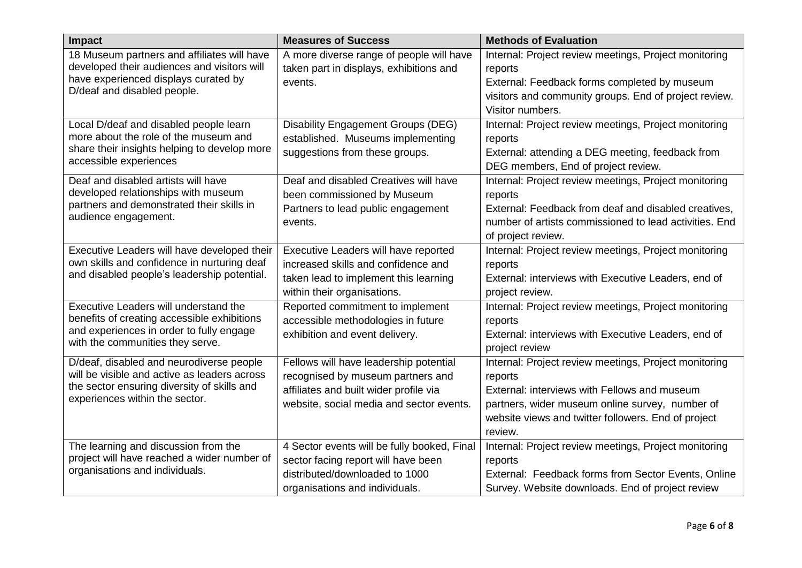| Impact                                                                        | <b>Measures of Success</b>                  | <b>Methods of Evaluation</b>                           |
|-------------------------------------------------------------------------------|---------------------------------------------|--------------------------------------------------------|
| 18 Museum partners and affiliates will have                                   | A more diverse range of people will have    | Internal: Project review meetings, Project monitoring  |
| developed their audiences and visitors will                                   | taken part in displays, exhibitions and     | reports                                                |
| have experienced displays curated by<br>D/deaf and disabled people.           | events.                                     | External: Feedback forms completed by museum           |
|                                                                               |                                             | visitors and community groups. End of project review.  |
|                                                                               |                                             | Visitor numbers.                                       |
| Local D/deaf and disabled people learn                                        | Disability Engagement Groups (DEG)          | Internal: Project review meetings, Project monitoring  |
| more about the role of the museum and                                         | established. Museums implementing           | reports                                                |
| share their insights helping to develop more                                  | suggestions from these groups.              | External: attending a DEG meeting, feedback from       |
| accessible experiences                                                        |                                             | DEG members, End of project review.                    |
| Deaf and disabled artists will have                                           | Deaf and disabled Creatives will have       | Internal: Project review meetings, Project monitoring  |
| developed relationships with museum                                           | been commissioned by Museum                 | reports                                                |
| partners and demonstrated their skills in                                     | Partners to lead public engagement          | External: Feedback from deaf and disabled creatives,   |
| audience engagement.                                                          | events.                                     | number of artists commissioned to lead activities. End |
|                                                                               |                                             | of project review.                                     |
| Executive Leaders will have developed their                                   | Executive Leaders will have reported        | Internal: Project review meetings, Project monitoring  |
| own skills and confidence in nurturing deaf                                   | increased skills and confidence and         | reports                                                |
| and disabled people's leadership potential.                                   | taken lead to implement this learning       | External: interviews with Executive Leaders, end of    |
|                                                                               | within their organisations.                 | project review.                                        |
| Executive Leaders will understand the                                         | Reported commitment to implement            | Internal: Project review meetings, Project monitoring  |
| benefits of creating accessible exhibitions                                   | accessible methodologies in future          | reports                                                |
| and experiences in order to fully engage<br>with the communities they serve.  | exhibition and event delivery.              | External: interviews with Executive Leaders, end of    |
|                                                                               |                                             | project review                                         |
| D/deaf, disabled and neurodiverse people                                      | Fellows will have leadership potential      | Internal: Project review meetings, Project monitoring  |
| will be visible and active as leaders across                                  | recognised by museum partners and           | reports                                                |
| the sector ensuring diversity of skills and<br>experiences within the sector. | affiliates and built wider profile via      | External: interviews with Fellows and museum           |
|                                                                               | website, social media and sector events.    | partners, wider museum online survey, number of        |
|                                                                               |                                             | website views and twitter followers. End of project    |
|                                                                               |                                             | review.                                                |
| The learning and discussion from the                                          | 4 Sector events will be fully booked, Final | Internal: Project review meetings, Project monitoring  |
| project will have reached a wider number of                                   | sector facing report will have been         | reports                                                |
| organisations and individuals.                                                | distributed/downloaded to 1000              | External: Feedback forms from Sector Events, Online    |
|                                                                               | organisations and individuals.              | Survey. Website downloads. End of project review       |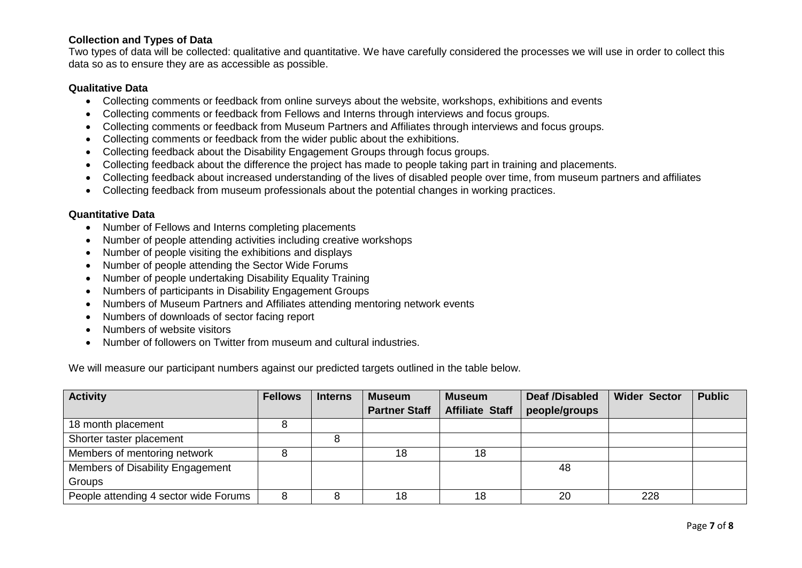## **Collection and Types of Data**

Two types of data will be collected: qualitative and quantitative. We have carefully considered the processes we will use in order to collect this data so as to ensure they are as accessible as possible.

#### **Qualitative Data**

- Collecting comments or feedback from online surveys about the website, workshops, exhibitions and events
- Collecting comments or feedback from Fellows and Interns through interviews and focus groups.
- Collecting comments or feedback from Museum Partners and Affiliates through interviews and focus groups.
- Collecting comments or feedback from the wider public about the exhibitions.
- Collecting feedback about the Disability Engagement Groups through focus groups.
- Collecting feedback about the difference the project has made to people taking part in training and placements.
- Collecting feedback about increased understanding of the lives of disabled people over time, from museum partners and affiliates
- Collecting feedback from museum professionals about the potential changes in working practices.

#### **Quantitative Data**

- Number of Fellows and Interns completing placements
- Number of people attending activities including creative workshops
- Number of people visiting the exhibitions and displays
- Number of people attending the Sector Wide Forums
- Number of people undertaking Disability Equality Training
- Numbers of participants in Disability Engagement Groups
- Numbers of Museum Partners and Affiliates attending mentoring network events
- Numbers of downloads of sector facing report
- Numbers of website visitors
- Number of followers on Twitter from museum and cultural industries.

We will measure our participant numbers against our predicted targets outlined in the table below.

| <b>Activity</b>                       | <b>Fellows</b> | <b>Interns</b> | <b>Museum</b>        | <b>Museum</b>          | <b>Deaf /Disabled</b> | <b>Wider Sector</b> | <b>Public</b> |
|---------------------------------------|----------------|----------------|----------------------|------------------------|-----------------------|---------------------|---------------|
|                                       |                |                | <b>Partner Staff</b> | <b>Affiliate Staff</b> | people/groups         |                     |               |
| 18 month placement                    |                |                |                      |                        |                       |                     |               |
| Shorter taster placement              |                |                |                      |                        |                       |                     |               |
| Members of mentoring network          |                |                | 18                   | 18                     |                       |                     |               |
| Members of Disability Engagement      |                |                |                      |                        | 48                    |                     |               |
| Groups                                |                |                |                      |                        |                       |                     |               |
| People attending 4 sector wide Forums | 8              |                | 18                   | 18                     | 20                    | 228                 |               |